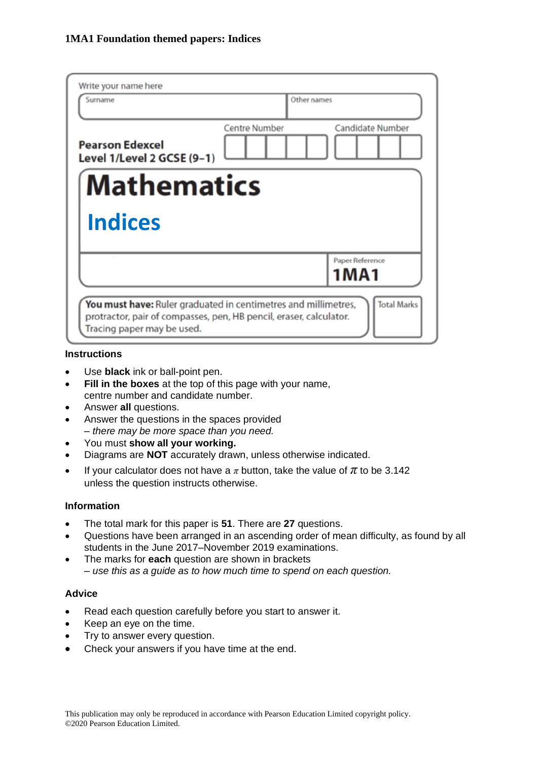| Surname                                              | Other names                              |
|------------------------------------------------------|------------------------------------------|
| <b>Pearson Edexcel</b><br>Level 1/Level 2 GCSE (9-1) | <b>Centre Number</b><br>Candidate Number |
| <b>Mathematics</b>                                   |                                          |
|                                                      |                                          |
| <b>Indices</b>                                       |                                          |
|                                                      | Paper Reference<br>1MA1                  |

#### **Instructions**

- Use **black** ink or ball-point pen.
- **Fill in the boxes** at the top of this page with your name, centre number and candidate number.
- Answer **all** questions.
- Answer the questions in the spaces provided *– there may be more space than you need.*
- You must **show all your working.**
- Diagrams are **NOT** accurately drawn, unless otherwise indicated.
- If your calculator does not have a  $\pi$  button, take the value of  $\pi$  to be 3.142 unless the question instructs otherwise.

#### **Information**

- The total mark for this paper is **51**. There are **27** questions.
- Questions have been arranged in an ascending order of mean difficulty, as found by all students in the June 2017–November 2019 examinations.
- The marks for **each** question are shown in brackets *– use this as a guide as to how much time to spend on each question.*

#### **Advice**

- Read each question carefully before you start to answer it.
- Keep an eye on the time.
- Try to answer every question.
- Check your answers if you have time at the end.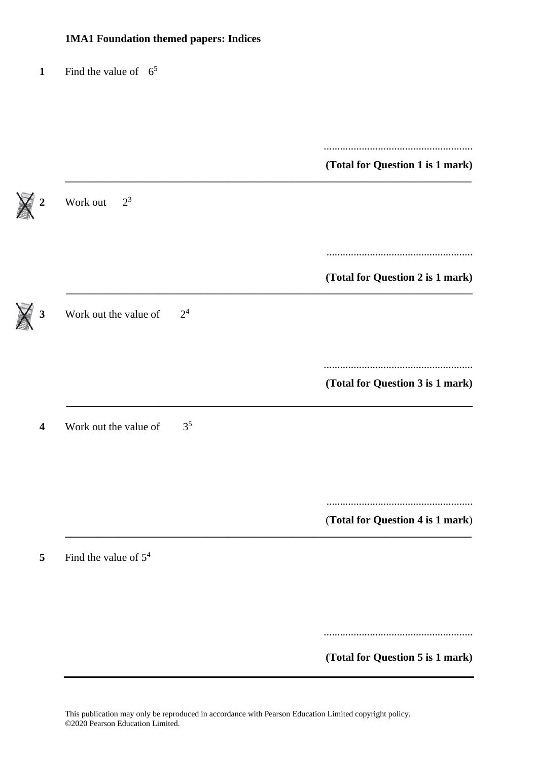### **1** Find the value of  $6^5$

|                         |                                         | (Total for Question 1 is 1 mark) |
|-------------------------|-----------------------------------------|----------------------------------|
| $\boldsymbol{2}$        | $2^3$<br>Work out                       |                                  |
|                         |                                         | (Total for Question 2 is 1 mark) |
| 3                       | 2 <sup>4</sup><br>Work out the value of |                                  |
|                         |                                         | (Total for Question 3 is 1 mark) |
| $\overline{\mathbf{4}}$ | 3 <sup>5</sup><br>Work out the value of |                                  |
|                         |                                         |                                  |
| 5                       | Find the value of $54$                  | (Total for Question 4 is 1 mark) |
|                         |                                         |                                  |
|                         |                                         | (Total for Question 5 is 1 mark) |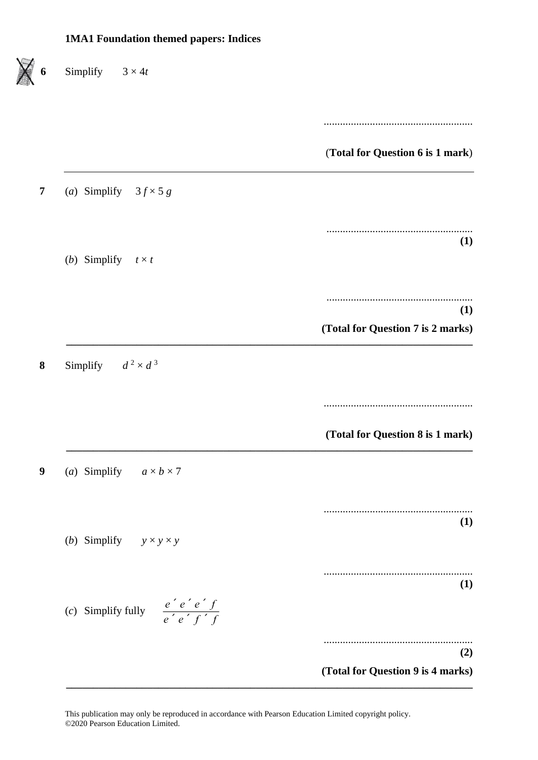Simplify  $3 \times 4t$ ....................................................... (**Total for Question 6 is 1 mark**) **7** (*a*) Simplify  $3f \times 5g$ ...................................................... **(1)** (*b*) Simplify  $t \times t$ ...................................................... **(1) (Total for Question 7 is 2 marks) \_\_\_\_\_\_\_\_\_\_\_\_\_\_\_\_\_\_\_\_\_\_\_\_\_\_\_\_\_\_\_\_\_\_\_\_\_\_\_\_\_\_\_\_\_\_\_\_\_\_\_\_\_\_\_\_\_\_\_\_\_\_\_\_\_\_\_\_\_\_\_\_\_\_\_ 8** Simplify  $d^2 \times d^3$ ....................................................... **(Total for Question 8 is 1 mark) \_\_\_\_\_\_\_\_\_\_\_\_\_\_\_\_\_\_\_\_\_\_\_\_\_\_\_\_\_\_\_\_\_\_\_\_\_\_\_\_\_\_\_\_\_\_\_\_\_\_\_\_\_\_\_\_\_\_\_\_\_\_\_\_\_\_\_\_\_\_\_\_\_\_\_ 9** (*a*) Simplify  $a \times b \times 7$ ....................................................... **(1)** (*b*) Simplify  $y \times y \times y$ ....................................................... **(1)** (*c*) Simplify fully *<sup>e</sup>* ´ *<sup>e</sup>* ´ *<sup>e</sup>* ´ *f <sup>e</sup>* ´ *<sup>e</sup>* ´ *f* ´ *f* ....................................................... **(2) (Total for Question 9 is 4 marks) \_\_\_\_\_\_\_\_\_\_\_\_\_\_\_\_\_\_\_\_\_\_\_\_\_\_\_\_\_\_\_\_\_\_\_\_\_\_\_\_\_\_\_\_\_\_\_\_\_\_\_\_\_\_\_\_\_\_\_\_\_\_\_\_\_\_\_\_\_\_\_\_\_\_\_**

This publication may only be reproduced in accordance with Pearson Education Limited copyright policy. ©2020 Pearson Education Limited.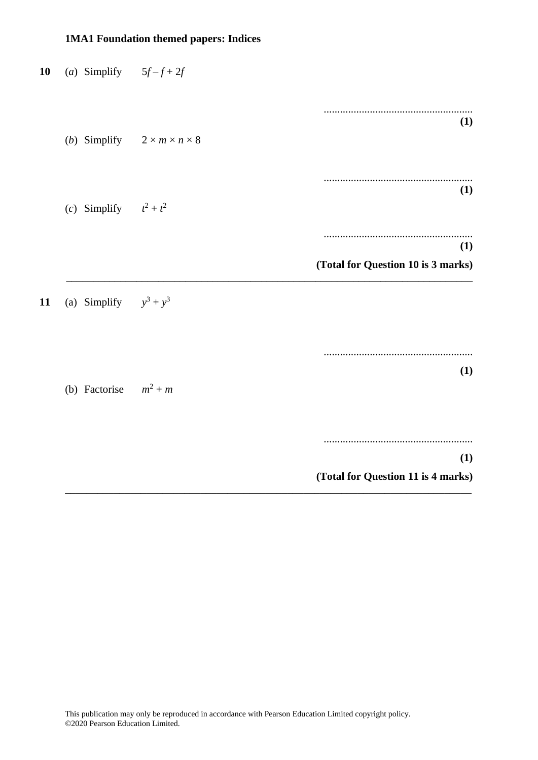| 10 | (a) Simplify $5f-f+2f$   |                                                      |                                           |
|----|--------------------------|------------------------------------------------------|-------------------------------------------|
|    |                          |                                                      | .                                         |
|    |                          | ( <i>b</i> ) Simplify $2 \times m \times n \times 8$ | (1)                                       |
|    |                          |                                                      | (1)                                       |
|    | (c) Simplify $t^2 + t^2$ |                                                      | .                                         |
|    |                          |                                                      | (1)<br>(Total for Question 10 is 3 marks) |
| 11 | (a) Simplify $y^3 + y^3$ |                                                      |                                           |
|    |                          |                                                      |                                           |
|    | (b) Factorise $m^2 + m$  |                                                      | (1)                                       |
|    |                          |                                                      |                                           |
|    |                          |                                                      | (1)<br>(Total for Question 11 is 4 marks) |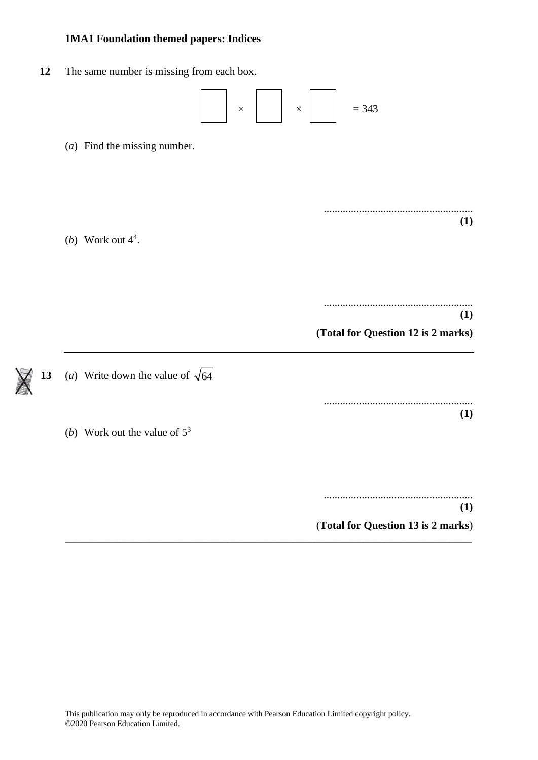**12** The same number is missing from each box.

$$
\boxed{\phantom{1}}
$$
 x 
$$
\boxed{\phantom{1}}
$$
 x 
$$
\boxed{\phantom{1}}
$$
 = 343

(*a*) Find the missing number.

....................................................... **(1)**

.......................................................

(*b*) Work out  $4^4$ .

**(1) (Total for Question 12 is 2 marks)** ....................................................... **(1)**

(*b*) Work out the value of 5<sup>3</sup>

....................................................... **(1)** (**Total for Question 13 is 2 marks**)

**\_\_\_\_\_\_\_\_\_\_\_\_\_\_\_\_\_\_\_\_\_\_\_\_\_\_\_\_\_\_\_\_\_\_\_\_\_\_\_\_\_\_\_\_\_\_\_\_\_\_\_\_\_\_\_\_\_\_\_\_\_\_\_\_\_\_\_\_\_\_\_\_\_\_\_**

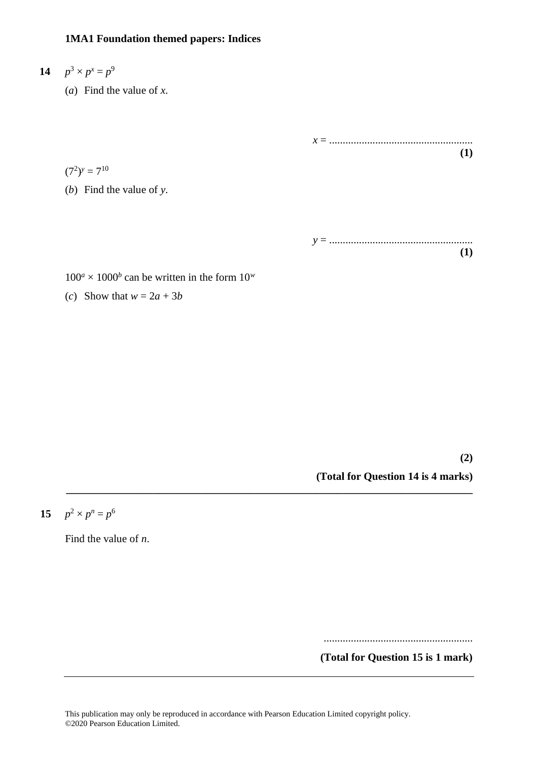# **14**  $p^3 \times p^x = p^9$

(*a*) Find the value of *x*.

*x* = ..................................................... **(1)**

 $(7^2)^y = 7^{10}$ 

(*b*) Find the value of *y*.

*y* = ..................................................... **(1)**

 $100^a \times 1000^b$  can be written in the form  $10^w$ 

(*c*) Show that  $w = 2a + 3b$ 

**(2) (Total for Question 14 is 4 marks)**

**15**  $p^2 \times p^n = p^6$ 

Find the value of *n*.

.......................................................

**(Total for Question 15 is 1 mark)**

**\_\_\_\_\_\_\_\_\_\_\_\_\_\_\_\_\_\_\_\_\_\_\_\_\_\_\_\_\_\_\_\_\_\_\_\_\_\_\_\_\_\_\_\_\_\_\_\_\_\_\_\_\_\_\_\_\_\_\_\_\_\_\_\_\_\_\_\_\_\_\_\_\_\_\_**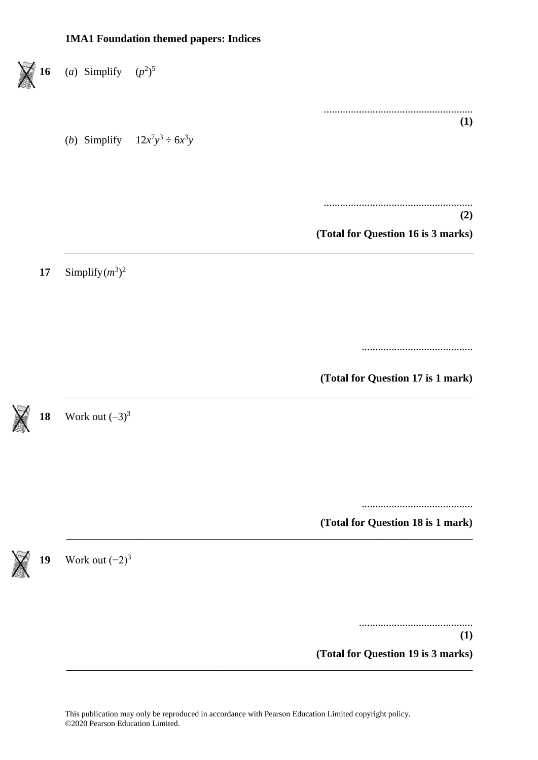

This publication may only be reproduced in accordance with Pearson Education Limited copyright policy. ©2020 Pearson Education Limited.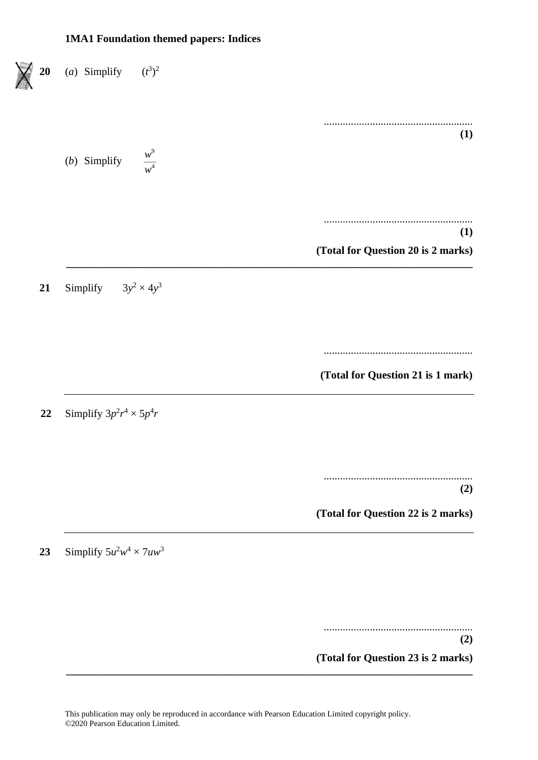

**(Total for Question 23 is 2 marks)**

**\_\_\_\_\_\_\_\_\_\_\_\_\_\_\_\_\_\_\_\_\_\_\_\_\_\_\_\_\_\_\_\_\_\_\_\_\_\_\_\_\_\_\_\_\_\_\_\_\_\_\_\_\_\_\_\_\_\_\_\_\_\_\_\_\_\_\_\_\_\_\_\_\_\_\_**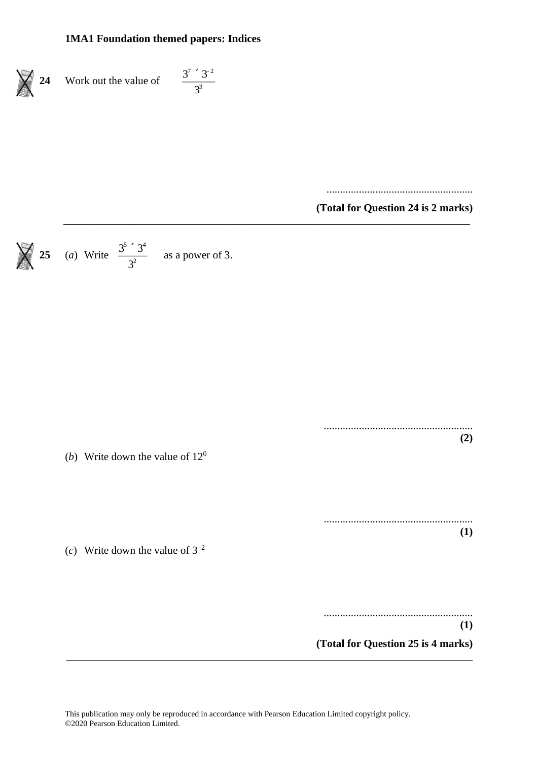